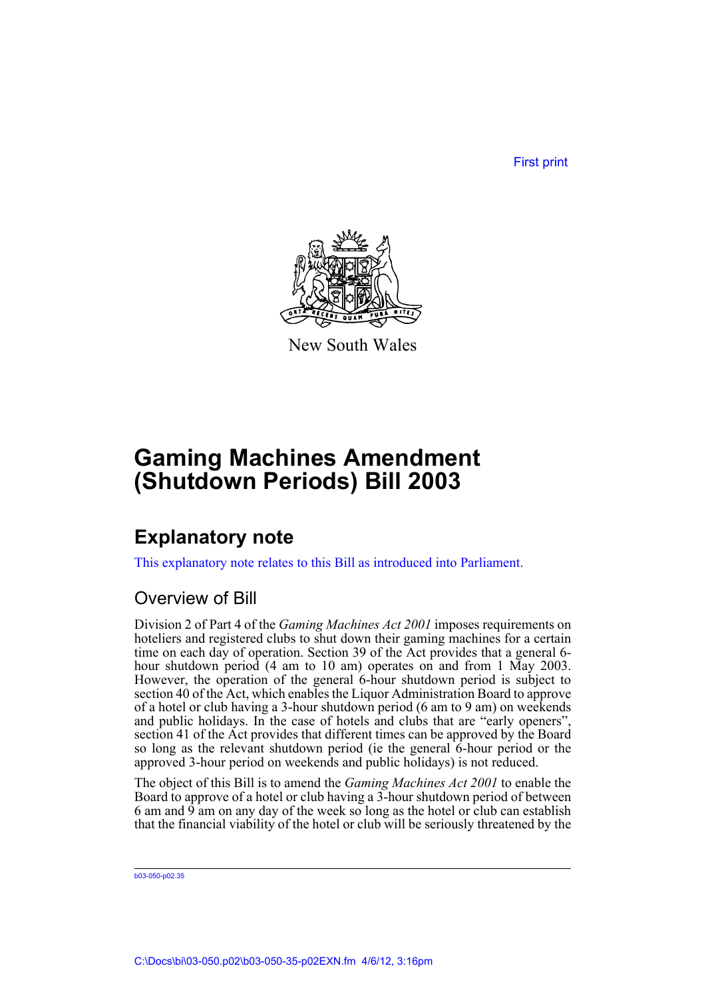First print



New South Wales

# **Gaming Machines Amendment (Shutdown Periods) Bill 2003**

## **Explanatory note**

This explanatory note relates to this Bill as introduced into Parliament.

### Overview of Bill

Division 2 of Part 4 of the *Gaming Machines Act 2001* imposes requirements on hoteliers and registered clubs to shut down their gaming machines for a certain time on each day of operation. Section 39 of the Act provides that a general 6 hour shutdown period (4 am to 10 am) operates on and from 1 May 2003. However, the operation of the general 6-hour shutdown period is subject to section 40 of the Act, which enables the Liquor Administration Board to approve of a hotel or club having a 3-hour shutdown period (6 am to 9 am) on weekends and public holidays. In the case of hotels and clubs that are "early openers", section 41 of the Act provides that different times can be approved by the Board so long as the relevant shutdown period (ie the general 6-hour period or the approved 3-hour period on weekends and public holidays) is not reduced.

The object of this Bill is to amend the *Gaming Machines Act 2001* to enable the Board to approve of a hotel or club having a 3-hour shutdown period of between 6 am and  $\overline{9}$  am on any day of the week so long as the hotel or club can establish that the financial viability of the hotel or club will be seriously threatened by the

b03-050-p02.35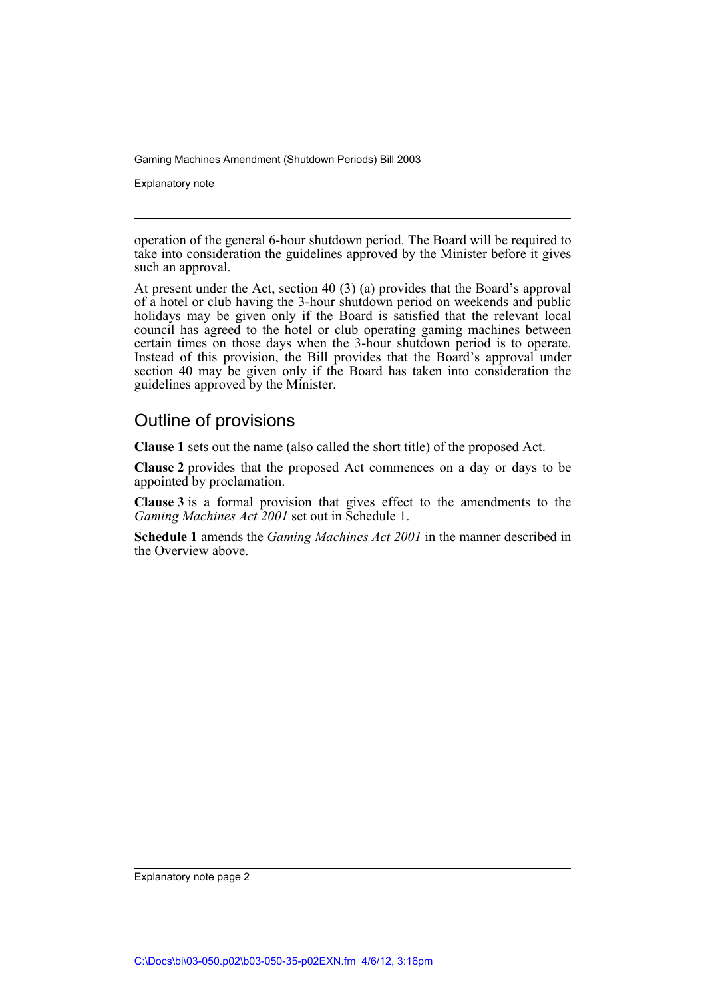Explanatory note

operation of the general 6-hour shutdown period. The Board will be required to take into consideration the guidelines approved by the Minister before it gives such an approval.

At present under the Act, section 40 (3) (a) provides that the Board's approval of a hotel or club having the 3-hour shutdown period on weekends and public holidays may be given only if the Board is satisfied that the relevant local council has agreed to the hotel or club operating gaming machines between certain times on those days when the 3-hour shutdown period is to operate. Instead of this provision, the Bill provides that the Board's approval under section 40 may be given only if the Board has taken into consideration the guidelines approved by the Minister.

#### Outline of provisions

**Clause 1** sets out the name (also called the short title) of the proposed Act.

**Clause 2** provides that the proposed Act commences on a day or days to be appointed by proclamation.

**Clause 3** is a formal provision that gives effect to the amendments to the *Gaming Machines Act 2001* set out in Schedule 1.

**Schedule 1** amends the *Gaming Machines Act 2001* in the manner described in the Overview above.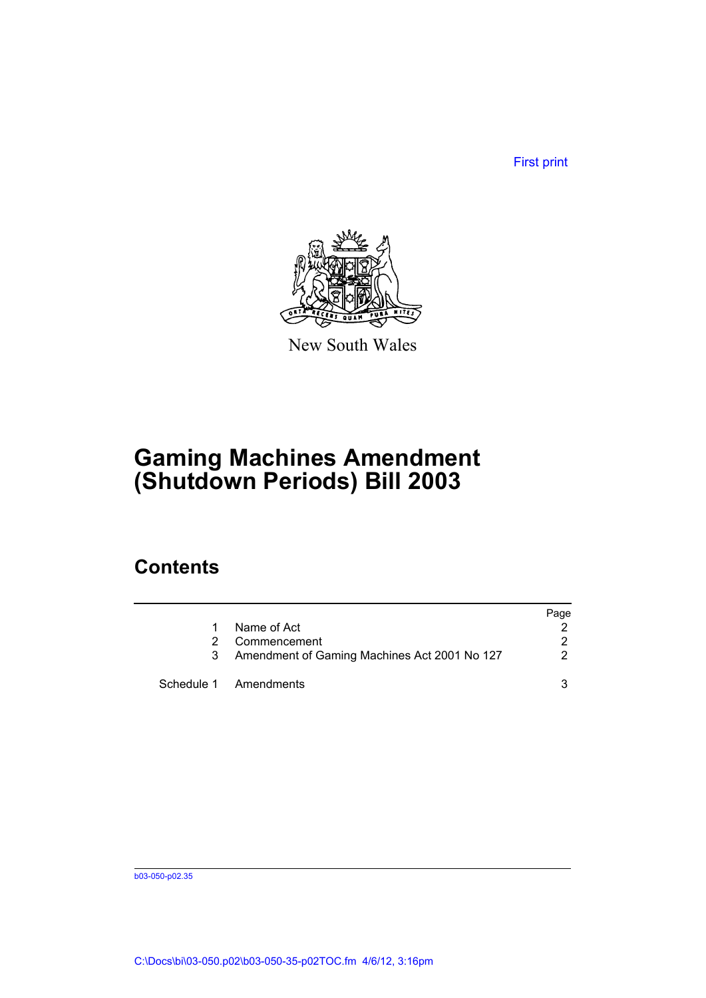First print



New South Wales

# **Gaming Machines Amendment (Shutdown Periods) Bill 2003**

### **Contents**

|                                              | Page                  |
|----------------------------------------------|-----------------------|
| Name of Act                                  |                       |
| Commencement                                 | 2                     |
| Amendment of Gaming Machines Act 2001 No 127 | 2                     |
|                                              | 3                     |
|                                              | Schedule 1 Amendments |

b03-050-p02.35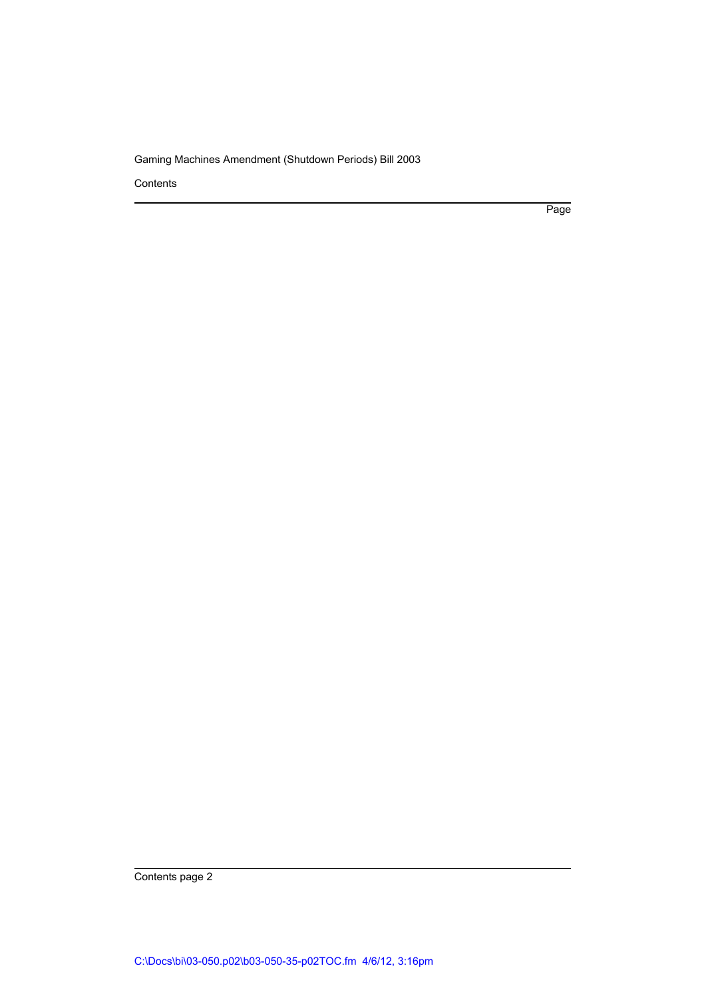Contents

Page

Contents page 2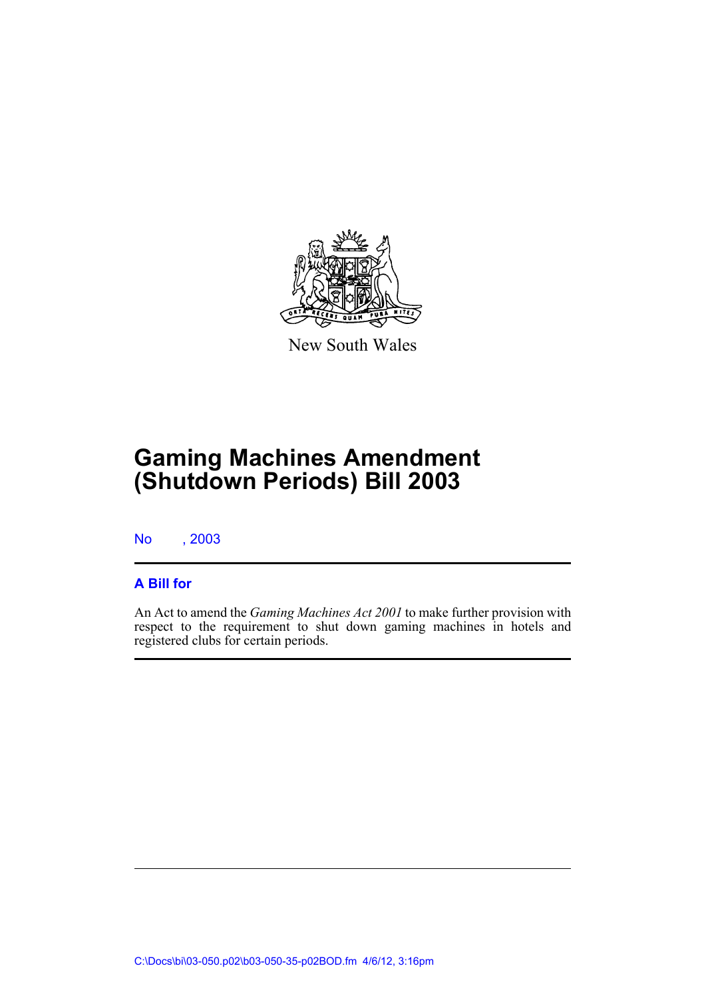

New South Wales

# **Gaming Machines Amendment (Shutdown Periods) Bill 2003**

No , 2003

#### **A Bill for**

An Act to amend the *Gaming Machines Act 2001* to make further provision with respect to the requirement to shut down gaming machines in hotels and registered clubs for certain periods.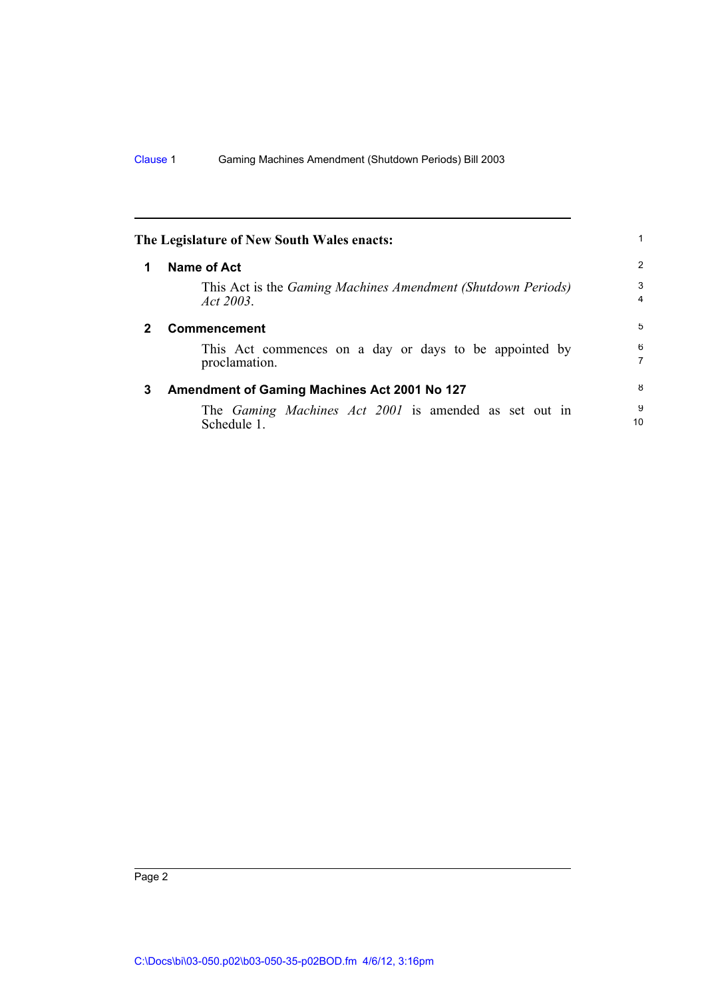<span id="page-5-2"></span><span id="page-5-1"></span><span id="page-5-0"></span>

|   | The Legislature of New South Wales enacts:                                       |                     |
|---|----------------------------------------------------------------------------------|---------------------|
|   | <b>Name of Act</b>                                                               | 2                   |
|   | This Act is the <i>Gaming Machines Amendment (Shutdown Periods)</i><br>Act 2003. | 3<br>$\overline{4}$ |
| 2 | Commencement                                                                     | 5                   |
|   | This Act commences on a day or days to be appointed by<br>proclamation.          | 6<br>$\overline{7}$ |
| 3 | Amendment of Gaming Machines Act 2001 No 127                                     | 8                   |
|   | The <i>Gaming Machines Act 2001</i> is amended as set out in<br>Schedule 1.      | 9<br>10             |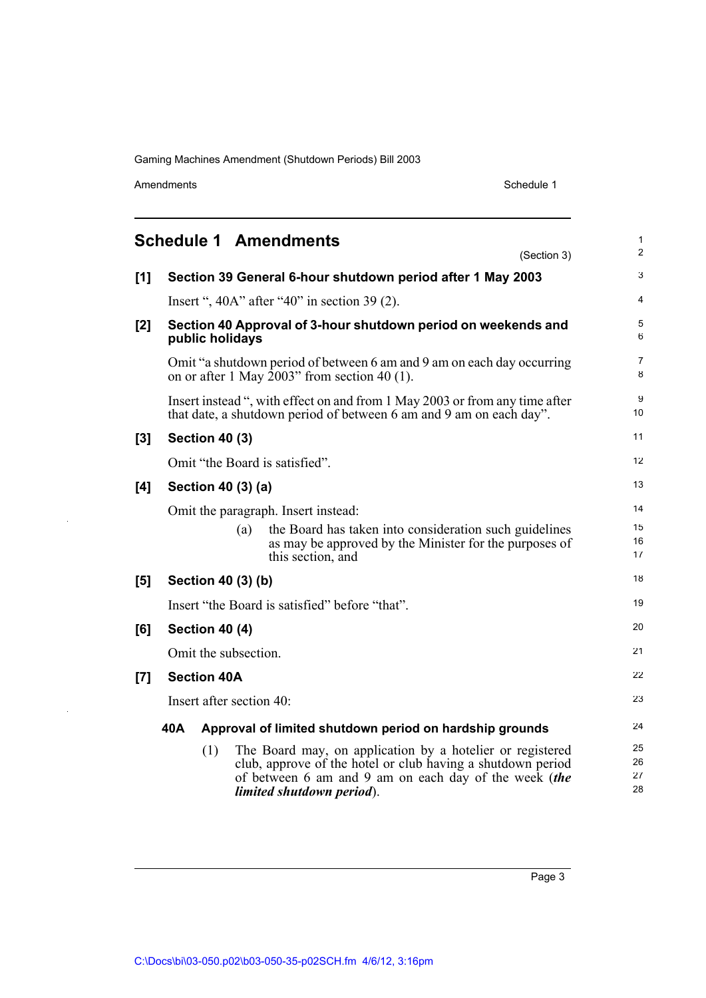Amendments Schedule 1

l.

l.

<span id="page-6-0"></span>

|       |                                                                |                       | <b>Schedule 1 Amendments</b>                                                                                                                                                                                   | (Section 3) | 1<br>$\overline{2}$  |
|-------|----------------------------------------------------------------|-----------------------|----------------------------------------------------------------------------------------------------------------------------------------------------------------------------------------------------------------|-------------|----------------------|
| $[1]$ |                                                                |                       | Section 39 General 6-hour shutdown period after 1 May 2003                                                                                                                                                     |             | 3                    |
|       |                                                                |                       | Insert ", $40A$ " after " $40$ " in section 39 (2).                                                                                                                                                            |             | 4                    |
| [2]   |                                                                | public holidays       | Section 40 Approval of 3-hour shutdown period on weekends and                                                                                                                                                  |             | 5<br>6               |
|       |                                                                |                       | Omit "a shutdown period of between 6 am and 9 am on each day occurring<br>on or after 1 May $2003$ " from section 40 (1).                                                                                      |             | 7<br>8               |
|       |                                                                |                       | Insert instead ", with effect on and from 1 May 2003 or from any time after<br>that date, a shutdown period of between 6 am and 9 am on each day".                                                             |             | 9<br>10              |
| $[3]$ |                                                                | <b>Section 40 (3)</b> |                                                                                                                                                                                                                |             | 11                   |
|       |                                                                |                       | Omit "the Board is satisfied".                                                                                                                                                                                 |             | 12                   |
| [4]   |                                                                | Section 40 (3) (a)    |                                                                                                                                                                                                                |             | 13                   |
|       |                                                                |                       | Omit the paragraph. Insert instead:                                                                                                                                                                            |             | 14                   |
|       |                                                                | (a)                   | the Board has taken into consideration such guidelines<br>as may be approved by the Minister for the purposes of<br>this section, and                                                                          |             | 15<br>16<br>17       |
| [5]   |                                                                | Section 40 (3) (b)    |                                                                                                                                                                                                                |             | 18                   |
|       | Insert "the Board is satisfied" before "that".                 |                       |                                                                                                                                                                                                                |             | 19                   |
| [6]   | Section 40 (4)                                                 |                       |                                                                                                                                                                                                                | 20          |                      |
|       | Omit the subsection.                                           |                       |                                                                                                                                                                                                                |             | 21                   |
| [7]   | <b>Section 40A</b>                                             |                       |                                                                                                                                                                                                                | 22          |                      |
|       | Insert after section 40:                                       |                       |                                                                                                                                                                                                                | 23          |                      |
|       | 40A<br>Approval of limited shutdown period on hardship grounds |                       |                                                                                                                                                                                                                |             | 24                   |
|       |                                                                | (1)                   | The Board may, on application by a hotelier or registered<br>club, approve of the hotel or club having a shutdown period<br>of between 6 am and 9 am on each day of the week (the<br>limited shutdown period). |             | 25<br>26<br>27<br>28 |

Page 3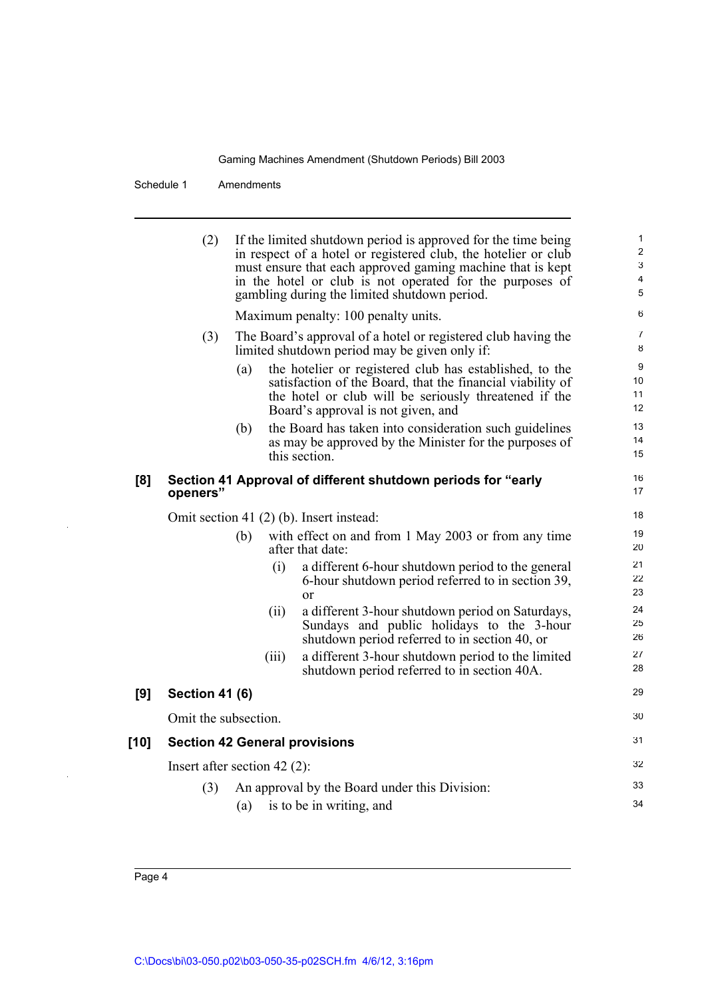Schedule 1 Amendments

(2) If the limited shutdown period is approved for the time being in respect of a hotel or registered club, the hotelier or club must ensure that each approved gaming machine that is kept in the hotel or club is not operated for the purposes of gambling during the limited shutdown period. Maximum penalty: 100 penalty units. (3) The Board's approval of a hotel or registered club having the limited shutdown period may be given only if: (a) the hotelier or registered club has established, to the satisfaction of the Board, that the financial viability of the hotel or club will be seriously threatened if the Board's approval is not given, and (b) the Board has taken into consideration such guidelines as may be approved by the Minister for the purposes of this section. **[8] Section 41 Approval of different shutdown periods for "early openers"** Omit section 41 (2) (b). Insert instead: (b) with effect on and from 1 May 2003 or from any time after that date: (i) a different 6-hour shutdown period to the general 6-hour shutdown period referred to in section 39, or (ii) a different 3-hour shutdown period on Saturdays, Sundays and public holidays to the 3-hour shutdown period referred to in section 40, or (iii) a different 3-hour shutdown period to the limited shutdown period referred to in section 40A. **[9] Section 41 (6)** Omit the subsection. **[10] Section 42 General provisions** Insert after section 42 (2): (3) An approval by the Board under this Division: (a) is to be in writing, and 1  $\overline{2}$ 3 4 5 6 7 8 9 10 11 12 13 14 15 16 17 18 19 20 21 22 23 24 25 26 27 28 29 30 31 32 33 34